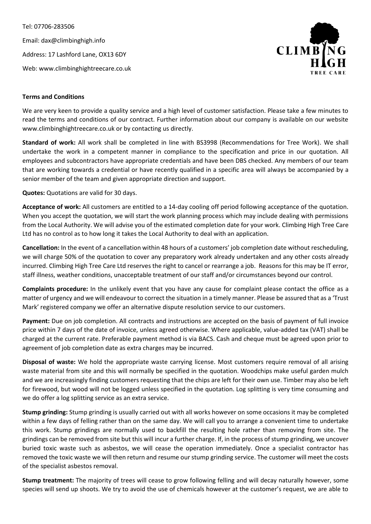Tel: 07706-283506 Email: dax@climbinghigh.info Address: 17 Lashford Lane, OX13 6DY Web: www.climbinghightreecare.co.uk



## **Terms and Conditions**

We are very keen to provide a quality service and a high level of customer satisfaction. Please take a few minutes to read the terms and conditions of our contract. Further information about our company is available on our website www.climbinghightreecare.co.uk or by contacting us directly.

**Standard of work:** All work shall be completed in line with BS3998 (Recommendations for Tree Work). We shall undertake the work in a competent manner in compliance to the specification and price in our quotation. All employees and subcontractors have appropriate credentials and have been DBS checked. Any members of our team that are working towards a credential or have recently qualified in a specific area will always be accompanied by a senior member of the team and given appropriate direction and support.

**Quotes:** Quotations are valid for 30 days.

**Acceptance of work:** All customers are entitled to a 14-day cooling off period following acceptance of the quotation. When you accept the quotation, we will start the work planning process which may include dealing with permissions from the Local Authority. We will advise you of the estimated completion date for your work. Climbing High Tree Care Ltd has no control as to how long it takes the Local Authority to deal with an application.

**Cancellation:** In the event of a cancellation within 48 hours of a customers' job completion date without rescheduling, we will charge 50% of the quotation to cover any preparatory work already undertaken and any other costs already incurred. Climbing High Tree Care Ltd reserves the right to cancel or rearrange a job. Reasons for this may be IT error, staff illness, weather conditions, unacceptable treatment of our staff and/or circumstances beyond our control.

**Complaints procedure:** In the unlikely event that you have any cause for complaint please contact the office as a matter of urgency and we will endeavour to correct the situation in a timely manner. Please be assured that as a 'Trust Mark' registered company we offer an alternative dispute resolution service to our customers.

**Payment:** Due on job completion. All contracts and instructions are accepted on the basis of payment of full invoice price within 7 days of the date of invoice, unless agreed otherwise. Where applicable, value-added tax (VAT) shall be charged at the current rate. Preferable payment method is via BACS. Cash and cheque must be agreed upon prior to agreement of job completion date as extra charges may be incurred.

**Disposal of waste:** We hold the appropriate waste carrying license. Most customers require removal of all arising waste material from site and this will normally be specified in the quotation. Woodchips make useful garden mulch and we are increasingly finding customers requesting that the chips are left for their own use. Timber may also be left for firewood, but wood will not be logged unless specified in the quotation. Log splitting is very time consuming and we do offer a log splitting service as an extra service.

**Stump grinding:** Stump grinding is usually carried out with all works however on some occasions it may be completed within a few days of felling rather than on the same day. We will call you to arrange a convenient time to undertake this work. Stump grindings are normally used to backfill the resulting hole rather than removing from site. The grindings can be removed from site but this will incur a further charge. If, in the process of stump grinding, we uncover buried toxic waste such as asbestos, we will cease the operation immediately. Once a specialist contractor has removed the toxic waste we will then return and resume our stump grinding service. The customer will meet the costs of the specialist asbestos removal.

**Stump treatment:** The majority of trees will cease to grow following felling and will decay naturally however, some species will send up shoots. We try to avoid the use of chemicals however at the customer's request, we are able to